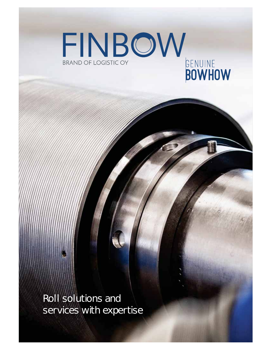

Roll solutions and services with expertise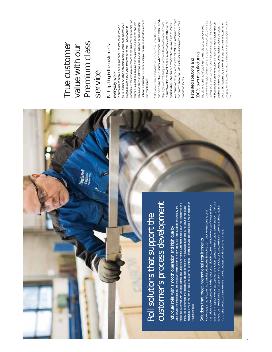

machines is much more than just a roll. Each roll is unique – and the service provided entails much more than viding the customer with versatile service and understanding the customer's needs: each roll is designed and Long service life and reliability are the key strengths of the Finbow products. High quality is ensured by pro-Long service life and reliability are the key strengths of the Finbow products. High quality is ensured by proproduced according to the customer's process conditions. An advanced high-quality roll solution for paper troubleshooting. troubleshooting.

Solutions that meet international requirements Solutions that meet international requirements

operations in respect to expertise, customer orientation, safety, and ethical values. We constantly monitor and operations in respect to expertise, customer orientation, safety, and ethical values. We constantly monitor and international quality standards and the needs of our global customers. We follow our set of values in all our develop our internal and external operations. This enables us to ensure that our customers always receive nternational quality standards and the needs of our global customers. We follow our set of values in all our develop our internal and external operations. This enables us to ensure that our customers always receive Finbow designs, manufactures and upgrades advanced roll solutions that meet the requirements of all high-quality products and service when they do business with Finbow or its partners.high-quality products and service when they do business with Finbow or its partners

 $\scriptstyle\sim$ 

 $\sim$  3

#### Premium class True customer Premium class True customer value with our value with our service

**Oglstich** 

Participating in the customer's Participating in the customer's

everyday work everyday work

participate in the everyday operations of the customer by providing, for Finbow's operations include, for example, design, product development participate in the everyday operations of the customer by providing, for Finbows operations include, for example, design, product development example, support and training; and the partnership does not end with example, support and training; and the partnership does not end with placing an order or delivering a product. In addition to manufacturing, placing an order or delivering a product. In addition to manufacturing, on roll suitability to the customer's process, world class maintenance on roll suitability to the customer's process, world class maintenance In our solutions tailored to pulp and paper industry needs we focus In our solutions tailored to pulp and paper industry needs we focus procedures and added value features to the rolls. Finbow wants to procedures and added value features to the rolls. Finbow wants to and maintenance. and maintenance.

you could save the price of one whole roll. With our systematic approach and functioning of our products. When everything is done better in each you could save the price of one whole roll. With our systematic approach and functioning of our products. When everything is done better in each in order to obtain the lowest possible maintenance costs of the roll per All the above-mentioned added value services influence the service life in order to obtain the lowest possible maintenance costs of the roll per and process knowledge rolls last longer and and match your increased and process knowledge rolls last longer and and match your increased All the above-mentioned added value services influence the service life step, significant cost savings are achieved. Quality assurance is crucial step, significant cost savings are achieved. Quality assurance is crucial operating hour. And quality is money, when you avoid one shutdown, operating hour. And quality is money: when you avoid one shutdown, production speeds. production speeds.

## Patented solutions and Patented solutions and

eading expertise in corrosion and wear-proof materials. The affordable designs, manufactures, inspects and packs the products. Quality comes patented and sustainable solutions. In addition, Finbow offers Finland's oatented and sustainable solutions. In addition, Finbow offers Finland's eading expertise in corrosion and wear-proof materials. The affordable designs, manufactures, inspects and packs the products. Quality comes Finbow products are the result of our own OEM manufacturing which Finbow products are the result of our own OEM manufacturing which ogistic TKT Systems Oy is the original equipment manufacturer who Logistic TKT Systems Oy is the original equipment manufacturer who The planning and manufacturing of the rolls is based on advanced, The planning and manufacturing of the rolls is based on advanced, enables us to monitor the quality of the metal products ourselves. enables us to monitor the quality of the metal products ourselves. 100% own manufacturing 100% own manufacturing

jirst.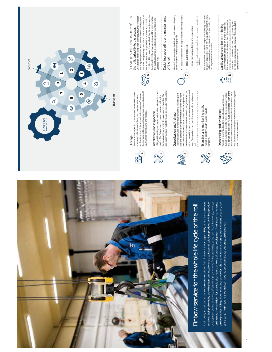

in solving their problems by providing them with excellent service. Patented solutions provided by Finbow product development enable us to cost-efficiently improve or modify the properties of the roll. This is how we get to meet varying machine conditions, for example after rebuild or years of process development. The Finbow maintenance varying machine conditions, for example after rebuild or years of process development. The Finbow maintenance service provides high-quality maintenance service for rolls of other manufacturers as well and always uses only new n solving their problems by providing them with excellent service. Patented solutions provided by Finbow product development enable us to cost-efficiently improve or modify the properties of the roll. This is how we get to meet ervice provides high-quality maintenance service for rolls of other manufacturers as well and always uses only new spare parts. The Finbow rolls we maintain have the best maintenance guarantee on the market.

4





a roll arriving from Finbow is sent to the customer's storage.<br>the storage must be dry and have an even temperature, and it the storage must be dry and have an even temperature, and it Storage<br>After the arrival inspection, the customer has received a new<br>or serviced roll that meets the agreed requirements. When After the arrival inspection, the customer has received a new a roll arriving from Finbow is sent to the customer's storage, or serviced roll that meets the agreed requirements. When must be free from shaking and vibration. must be free from shaking and vibration.



Lifting and installing a spreaded roll requires high precision and caution. The inhow experts provide customers with instructional and as supply purpose measure of the state of the state of the state of the state of the st Lifting and installing a spreaded roll requires high precision and tions and guidance in order to ensure correct operation. We caution. The Finbow experts provide customers with instruc-Installation and inspection Installation and inspection

also supply purpose-made lifting aids for spreader roll handling.



roll and extend the maintenance intervals by as much as several patented Finbow solutions enable more running metres for the patented Finbow solutions enable more running metres for the roll and extend the maintenance intervals by as much as several The Finbow services include troubleshooting, consulting, and<br>user and operation training for maintenance crew and operawell. Transportation and handling are part of the training as<br>well. The Finbow services include troubleshooting, consulting, and user and operation training for maintenance crew and operators so that the machinery can be operated at full speed. The tors so that the machinery can be operated at full speed. The years. Transportation and handling are part of the training as Consultation and training Consultation and training

**3**



The roll is transferred with caution ready to The roll is transferred with caution ready to transport.

### Dismantling and evaluation Dismantling and evaluation

this, decisions concerning the work content are made together The roll is dismaniled and the agreed maintenance is con-<br>ducted. In addition to metal rolls, Finbow can service rubber<br>rolls as well. The customer receives an illustrated report of the<br>rolls as well. The customer receives rolls as well. The customer receives an illustrated report of the evaluation and measurements done during dismantling. After ducted. In addition to metal rolls, Finbow can service rubber The roll is dismantled and the agreed maintenance is conwith customer, based on facts. with customer, based on facts.



Decision on service content and verification Decision on service content and verification tent is agreed upon with the customer. Before starting the ac-<br>tual work, the operating conditions of the roll are checked, such<br>as the running speed range and temperatures and humidity tual work, the operating conditions of the roll are checked, such conditions. At the same time we check that the design speed of<br>the roll matches the actual speed range of the paper machine.<br>This quality assurance is conducted on new, maintained and conditions. At the same time we check that the design speed of Once the roll has been opened and measured, the service con-Once the roll has been opened and measured, the service conthe roll matches the actual speed range of the paper machine. tent is agreed upon with the customer. Before starting the acas the running speed range and temperatures and humidity the roll's suitability to the process the roll's suitability to the process

This quality assurance is conducted on new, maintained and uparaded rolls. upgraded rolls.

Designing, upgrading and maintenance Designing, upgrading and maintenance of the roll of the roll We consider for example the following factors when designing<br>a new roll or roll maintenance/upgrade: We consider for example the following factors when designing a new roll or roll maintenance/upgrade:

- · special conditions of the paper machine and roll position • special conditions of the paper machine and roll position  $\ddot{\phantom{a}}$ 
	- paper quality produced • paper quality produced

**7**

- actual running speed range and temperature • actual running speed range and temperature
- the first and second critical vibration frequency and their the first and second critical vibration frequency and their<br>multiples.  $\ddot{\phantom{a}}$

The maintenance cost of the roll per one operating hour must<br>be as low as possible. This is why the performance of the new<br>cunning conditions as possible. The maintenance cost of the roll per one operating hour must be as low as possible. This is why the performance of the new roll being manufactured or maintained is tested as close to running conditions as possible.

At the same time the vibration of the rolls measured in<br>order to determine its vibration characteristics. Quality of<br>the roll and tis adherence to the running values agreed<br>operating life of the roll<br>operating life of the order to determine its vibration characteristics. Quality of At the same time the vibration of the roll is measured in the roll and its adherence to the running values agreed on with the customer can be ensured. This extends the Vibration tests are conducted on the roll at all speeds. Vibration tests are conducted on the roll at all speeds. Quality assurance before shipping Quality assurance before shipping

**9** 

operating life of the roll.

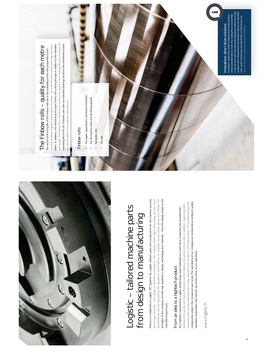

# Logistic – tailored machine parts Logistic - tailored machine parts from design to manufacturing from design to manufacturing

Finbow is a trademark of Logistic TKT Systems Oy. Logistic delivers parts and components for the machine, process fied deliveries that are required by the regulations of the field to, for example, nuclear power plants and oilfields. The strengths of the company include high expertise in design, technology and materials – from the design phase to the Finbow is a trademark of Logistic TKT Systems Oy. Logistic delivers parts and components for the machine, process and energy industries - from design to finished end products. The company makes highly demanding, security classified deliveries that are required by the regulations of the field to, for example, nuclear power plants and oilfields. The strengths of the company include high expertise in design, technology and materials - from the design phase to the and energy industries – from design to finished end products. The company makes highly demanding, security classimanufacturing process. manufacturing process.

# From an idea to a hightech product From an idea to a hightech product

customers with concept planning and turnkey solutions from an idea to a finished product. The manufacturing of the customers with concept planning and turnkey solutions from an idea to a finished product. The manufacturing of the company lies solely in the companys own hands. The operations of our company are conducted according to quality company lies solely in the company's own hands. The operations of our company are conducted according to quality assistance for quicker and more affordable commercialising of products and services. In addition, Logistic provides assistance for quicker and more affordable commercialising of products and services. In addition, Logistic provides As a hightech manufacturer, Logistic tackles large-scale challenges in a short time. Customers are provided with As a hightech manufacturer, Logistic tackles large-scale challenges in a short time. Customers are provided with standards. Automation and robotics are at the center of our operations. standards. Automation and robotics are at the center of our operations.

www.logistic.fi www.logistic.fi

6

## The Finbow rolls - quality for each metre The Finbow rolls – quality for each metre The secret of the long life of the Finbow rolls lies in the suitability of the roll's properties to the The secret of the long life of the Finbow rolls lies in the suitability of the roll's properties to the

and length. The Finbow Plus maintenance meets strict quality criteria and significantly increases the and length. The Finbow Plus maintenance meets strict quality criteria and significantly increases the lation. In addition, the mechanical structure of the roll is strong enough in relation to the diameter operating life of the roll. Finbow's own rolls use standard bearings and thus the maintenance does running conditions (speed, temperature, humidity) - all confirmed with careful planning and calcurunning conditions (speed, temperature, humidity) - all confirmed with careful planning and calculation. In addition, the mechanical structure of the roll is strong enough in relation to the diameter operating life of the roll. Finbows own rolls use standard bearings and thus the maintenance does not require parts from a specific manufacturer. not require parts from a specific manufacturer.

#### Finbow rolls Finbow rolls

- For paper, paperboard, and tissue industries • For paper, paperboard, and tissue industries For all machine sizes and all driving speeds • For all machine sizes and all driving speeds
- Spreader rolls • Spreader rolls
	- Fly rolls • Fly rolls